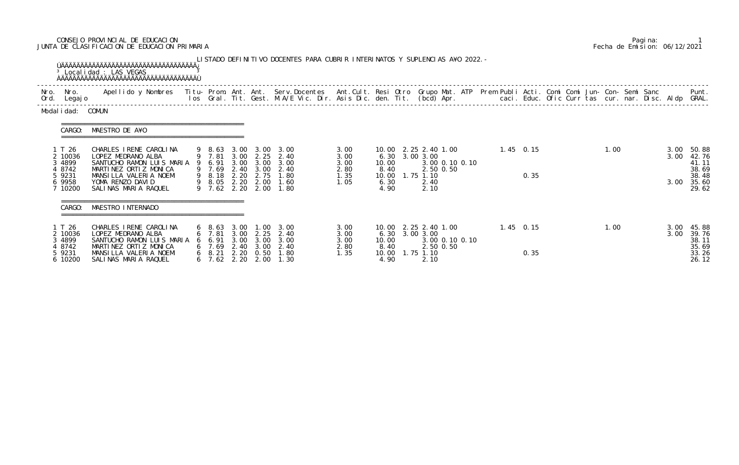## CONSEJO PROVINCIAL DE EDUCACION Pagina: 1 JUNTA DE CLASIFICACION DE EDUCACION PRIMARIA Fecha de Emision: 06/12/2021

|                                                                      | <sup>3</sup> Localidad : LAS VEGAS                                                                                                                                                                                                |                                                                                        |                      |                                                                                 | LISTADO DEFINITIVO DOCENTES PARA CUBRIR INTERINATOS Y SUPLENCIAS A¥O 2022. - |                                              |                                                                                  |                                        |                |  |             |                     |  |      |  |                      |                                                             |
|----------------------------------------------------------------------|-----------------------------------------------------------------------------------------------------------------------------------------------------------------------------------------------------------------------------------|----------------------------------------------------------------------------------------|----------------------|---------------------------------------------------------------------------------|------------------------------------------------------------------------------|----------------------------------------------|----------------------------------------------------------------------------------|----------------------------------------|----------------|--|-------------|---------------------|--|------|--|----------------------|-------------------------------------------------------------|
| Nro. Nro.<br>Ord. Legajo                                             | Apellido y Nombres - Titu- Prom. Ant. Ant. Serv.Docentes - Ant.Cult. Resi Otro Grupo Mat. ATP Prem Publi Acti. Comi Comi Jun- Con- Semi Sanc - - - Punt.<br>Ios Gral. Tit. Gest. M.A/E Vic. Dir. Asis Dic. den. Tit. (bcd) Apr. - |                                                                                        |                      |                                                                                 |                                                                              |                                              |                                                                                  |                                        |                |  |             |                     |  |      |  |                      |                                                             |
| Modal i dad: COMUN                                                   |                                                                                                                                                                                                                                   |                                                                                        |                      |                                                                                 |                                                                              |                                              |                                                                                  |                                        |                |  |             |                     |  |      |  |                      |                                                             |
| CARGO:                                                               | MAESTRO DE A¥O                                                                                                                                                                                                                    |                                                                                        |                      |                                                                                 |                                                                              |                                              |                                                                                  |                                        |                |  |             |                     |  |      |  |                      |                                                             |
| 1 T 26<br>2 10036<br>3 4899<br>4 8742<br>5 9231<br>6 9958<br>7 10200 | CHARLES IRENE CAROLINA<br>LOPEZ MEDRANO ALBA<br>SANTUCHO RAMON LUIS MARIA<br>MARTINEZ ORTIZ MONICA<br>MANSILLA VALERIA NOEMI<br>YOMA RENZO DAVID<br>SALINAS MARIA RAQUEL                                                          | 9 8.63<br>9 7.81<br>9 6.91<br>9 7.69<br>9 8.18<br>9 8.05 2.20 2.00<br>9 7.62 2.20 2.00 | 2.20                 | $3.00 \quad 2.25$<br>3.00 3.00<br>2.40 3.00<br>2.75                             | 3.00 3.00 3.00<br>2.40<br>3.00<br>2.40<br>1.80<br>1.60<br>1.80               | 3.00<br>3.00<br>3.00<br>2.80<br>1.35<br>1.05 | 10.00 2.25 2.40 1.00<br>6.30 3.00 3.00<br>10.00<br>8.40<br>10.00<br>6.30<br>4.90 | 2.50 0.50<br>1.75 1.10<br>2.40<br>2.10 | 3.00 0.10 0.10 |  | $1.45$ 0.15 | 0.35                |  | 1.00 |  | 3.00<br>3.00<br>3.00 | 50.88<br>42.76<br>41.11<br>38.69<br>38.48<br>35.60<br>29.62 |
| CARGO:                                                               | MAESTRO INTERNADO                                                                                                                                                                                                                 |                                                                                        |                      |                                                                                 |                                                                              |                                              |                                                                                  |                                        |                |  |             |                     |  |      |  |                      |                                                             |
| 1 T 26<br>2 10036<br>3 4899<br>4 8742<br>5 9231<br>6 10200           | CHARLES IRENE CAROLINA<br>LOPEZ MEDRANO ALBA<br>SANTUCHO RAMON LUIS MARIA<br>MARTINEZ ORTIZ MONICA<br>MANSILLA VALERIA NOEMI<br>SALINAS MARIA RAQUEL                                                                              | $6\quad 8.63$<br>6 7.81<br>6 6.91<br>6 7.69<br>$6\quad 8.21$<br>$6$ 7.62 2.20          | 3.00<br>3.00<br>2.20 | $\overline{\phantom{0}}$ . OO<br>3.00 2.25<br>3.00<br>2.40 3.00<br>0.50<br>2.00 | 3.00<br>2.40<br>3.00<br>2.40<br>1.80<br>1.30                                 | 3.00<br>3.00<br>3.00<br>2.80<br>1.35         | 10.00 2.25 2.40 1.00<br>6.30 3.00 3.00<br>10.00<br>8.40<br>10.00<br>4.90         | 2.50 0.50<br>$1.75$ $1.10$<br>2.10     | 3.00 0.10 0.10 |  |             | $1.45$ 0.15<br>0.35 |  | 1.00 |  | 3.00<br>3.00         | 45.88<br>39.76<br>38.11<br>35.69<br>33.26<br>26.12          |